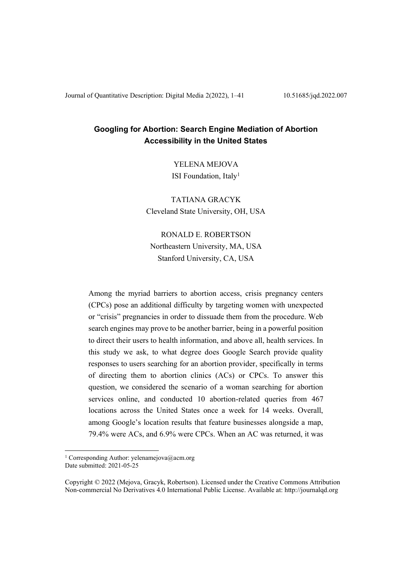# **Googling for Abortion: Search Engine Mediation of Abortion Accessibility in the United States**

YELENA MEJOVA ISI Foundation, Italy<sup>1</sup>

TATIANA GRACYK Cleveland State University, OH, USA

RONALD E. ROBERTSON Northeastern University, MA, USA Stanford University, CA, USA

Among the myriad barriers to abortion access, crisis pregnancy centers (CPCs) pose an additional difficulty by targeting women with unexpected or "crisis" pregnancies in order to dissuade them from the procedure. Web search engines may prove to be another barrier, being in a powerful position to direct their users to health information, and above all, health services. In this study we ask, to what degree does Google Search provide quality responses to users searching for an abortion provider, specifically in terms of directing them to abortion clinics (ACs) or CPCs. To answer this question, we considered the scenario of a woman searching for abortion services online, and conducted 10 abortion-related queries from 467 locations across the United States once a week for 14 weeks. Overall, among Google's location results that feature businesses alongside a map. 79.4% were ACs, and 6.9% were CPCs. When an AC was returned, it was

<sup>&</sup>lt;sup>1</sup> Corresponding Author: yelenamejova@acm.org Date submitted: 2021-05-25

Copyright © 2022 (Mejova, Gracyk, Robertson). Licensed under the Creative Commons Attribution Non-commercial No Derivatives 4.0 International Public License. Available at: http://journalqd.org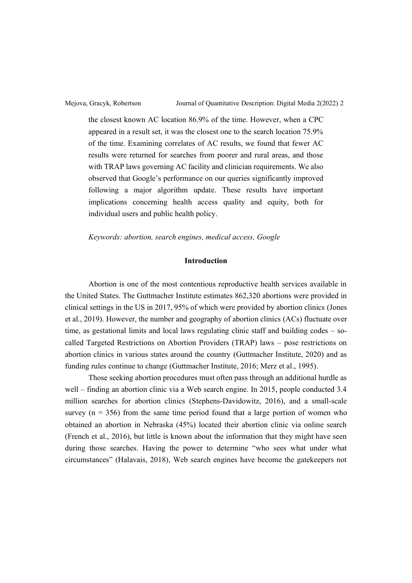the closest known AC location 86.9% of the time. However, when a CPC appeared in a result set, it was the closest one to the search location 75.9% of the time. Examining correlates of AC results, we found that fewer AC results were returned for searches from poorer and rural areas, and those with TRAP laws governing AC facility and clinician requirements. We also observed that Google's performance on our queries significantly improved following a major algorithm update. These results have important implications concerning health access quality and equity, both for individual users and public health policy.

### *Keywords: abortion, search engines, medical access, Google*

# **Introduction**

Abortion is one of the most contentious reproductive health services available in the United States. The Guttmacher Institute estimates 862,320 abortions were provided in clinical settings in the US in 2017, 95% of which were provided by abortion clinics (Jones et al., 2019). However, the number and geography of abortion clinics (ACs) fluctuate over time, as gestational limits and local laws regulating clinic staff and building codes  $-$  socalled Targeted Restrictions on Abortion Providers (TRAP) laws – pose restrictions on abortion clinics in various states around the country (Guttmacher Institute, 2020) and as funding rules continue to change (Guttmacher Institute, 2016; Merz et al., 1995).

Those seeking abortion procedures must often pass through an additional hurdle as well – finding an abortion clinic via a Web search engine. In 2015, people conducted 3.4 million searches for abortion clinics (Stephens-Davidowitz, 2016), and a small-scale survey ( $n = 356$ ) from the same time period found that a large portion of women who obtained an abortion in Nebraska (45%) located their abortion clinic via online search (French et al., 2016), but little is known about the information that they might have seen during those searches. Having the power to determine "who sees what under what  $G$ ircumstances" (Halavais, 2018), Web search engines have become the gatekeepers not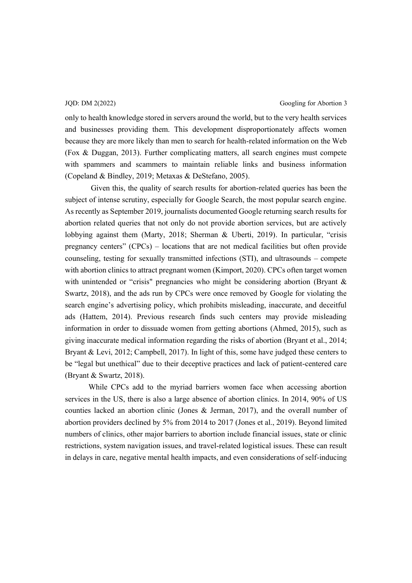JQD: DM 2(2022) Googling for Abortion 3

only to health knowledge stored in servers around the world, but to the very health services and businesses providing them. This development disproportionately affects women because they are more likely than men to search for health-related information on the Web (Fox & Duggan, 2013). Further complicating matters, all search engines must compete with spammers and scammers to maintain reliable links and business information (Copeland & Bindley, 2019; Metaxas & DeStefano, 2005).

Given this, the quality of search results for abortion-related queries has been the subject of intense scrutiny, especially for Google Search, the most popular search engine. As recently as September 2019, journalists documented Google returning search results for abortion related queries that not only do not provide abortion services, but are actively lobbying against them (Marty, 2018; Sherman & Uberti, 2019). In particular, "crisis pregnancy centers" (CPCs)  $-$  locations that are not medical facilities but often provide counseling, testing for sexually transmitted infections  $(STI)$ , and ultrasounds  $-$  compete with abortion clinics to attract pregnant women (Kimport, 2020). CPCs often target women with unintended or "crisis" pregnancies who might be considering abortion (Bryant  $\&$ Swartz, 2018), and the ads run by CPCs were once removed by Google for violating the search engine's advertising policy, which prohibits misleading, inaccurate, and deceitful ads (Hattem, 2014). Previous research finds such centers may provide misleading information in order to dissuade women from getting abortions (Ahmed, 2015), such as giving inaccurate medical information regarding the risks of abortion (Bryant et al., 2014; Bryant & Levi, 2012; Campbell, 2017). In light of this, some have judged these centers to be "legal but unethical" due to their deceptive practices and lack of patient-centered care (Bryant & Swartz, 2018).

While CPCs add to the myriad barriers women face when accessing abortion services in the US, there is also a large absence of abortion clinics. In 2014, 90% of US counties lacked an abortion clinic (Jones & Jerman, 2017), and the overall number of abortion providers declined by 5% from 2014 to 2017 (Jones et al., 2019). Beyond limited numbers of clinics, other major barriers to abortion include financial issues, state or clinic restrictions, system navigation issues, and travel-related logistical issues. These can result in delays in care, negative mental health impacts, and even considerations of self-inducing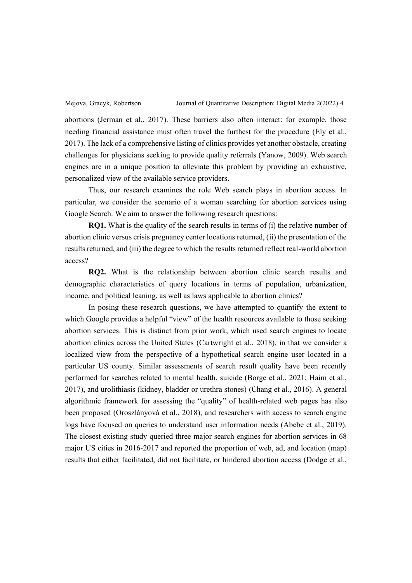abortions (Jerman et al., 2017). These barriers also often interact: for example, those needing financial assistance must often travel the furthest for the procedure (Ely et al., 2017). The lack of a comprehensive listing of clinics provides yet another obstacle, creating challenges for physicians seeking to provide quality referrals (Yanow, 2009). Web search engines are in a unique position to alleviate this problem by providing an exhaustive, personalized view of the available service providers.

Thus, our research examines the role Web search plays in abortion access. In particular, we consider the scenario of a woman searching for abortion services using Google Search. We aim to answer the following research questions:

**RQ1.** What is the quality of the search results in terms of (i) the relative number of abortion clinic versus crisis pregnancy center locations returned, (ii) the presentation of the results returned, and (iii) the degree to which the results returned reflect real-world abortion access?

**RQ2.** What is the relationship between abortion clinic search results and demographic characteristics of query locations in terms of population, urbanization, income, and political leaning, as well as laws applicable to abortion clinics?

In posing these research questions, we have attempted to quantify the extent to which Google provides a helpful "view" of the health resources available to those seeking abortion services. This is distinct from prior work, which used search engines to locate abortion clinics across the United States (Cartwright et al., 2018), in that we consider a localized view from the perspective of a hypothetical search engine user located in a particular US county. Similar assessments of search result quality have been recently performed for searches related to mental health, suicide (Borge et al., 2021; Haim et al., 2017), and urolithiasis (kidney, bladder or urethra stones) (Chang et al., 2016). A general algorithmic framework for assessing the "quality" of health-related web pages has also been proposed (Oroszlányová et al., 2018), and researchers with access to search engine logs have focused on queries to understand user information needs (Abebe et al., 2019). The closest existing study queried three major search engines for abortion services in 68 major US cities in 2016-2017 and reported the proportion of web, ad, and location (map) results that either facilitated, did not facilitate, or hindered abortion access (Dodge et al.,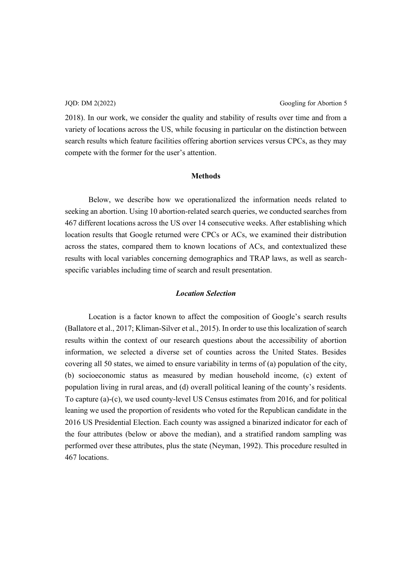2018). In our work, we consider the quality and stability of results over time and from a variety of locations across the US, while focusing in particular on the distinction between search results which feature facilities offering abortion services versus CPCs, as they may compete with the former for the user's attention.

### **Methods**

Below, we describe how we operationalized the information needs related to seeking an abortion. Using 10 abortion-related search queries, we conducted searches from 467 different locations across the US over 14 consecutive weeks. After establishing which location results that Google returned were CPCs or ACs, we examined their distribution across the states, compared them to known locations of ACs, and contextualized these results with local variables concerning demographics and TRAP laws, as well as searchspecific variables including time of search and result presentation.

# *Location Selection*

Location is a factor known to affect the composition of Google's search results (Ballatore et al., 2017; Kliman-Silver et al., 2015). In order to use this localization of search results within the context of our research questions about the accessibility of abortion information, we selected a diverse set of counties across the United States. Besides covering all 50 states, we aimed to ensure variability in terms of (a) population of the city, (b) socioeconomic status as measured by median household income, (c) extent of population living in rural areas, and  $(d)$  overall political leaning of the county's residents. To capture (a)-(c), we used county-level US Census estimates from 2016, and for political leaning we used the proportion of residents who voted for the Republican candidate in the 2016 US Presidential Election. Each county was assigned a binarized indicator for each of the four attributes (below or above the median), and a stratified random sampling was performed over these attributes, plus the state (Neyman, 1992). This procedure resulted in 467 locations.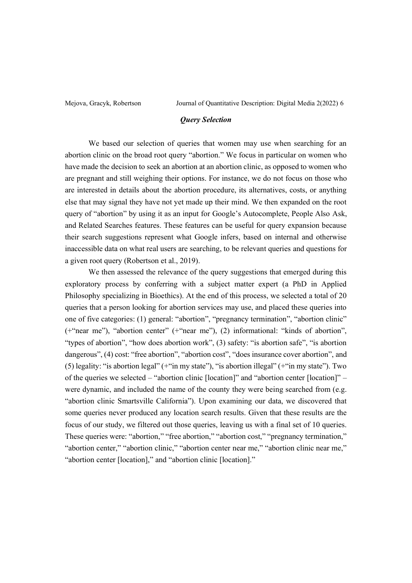# *Query Selection*

We based our selection of queries that women may use when searching for an abortion clinic on the broad root query "abortion." We focus in particular on women who have made the decision to seek an abortion at an abortion clinic, as opposed to women who are pregnant and still weighing their options. For instance, we do not focus on those who are interested in details about the abortion procedure, its alternatives, costs, or anything else that may signal they have not yet made up their mind. We then expanded on the root query of "abortion" by using it as an input for Google's Autocomplete, People Also Ask, and Related Searches features. These features can be useful for query expansion because their search suggestions represent what Google infers, based on internal and otherwise inaccessible data on what real users are searching, to be relevant queries and questions for a given root query (Robertson et al., 2019).

We then assessed the relevance of the query suggestions that emerged during this exploratory process by conferring with a subject matter expert (a PhD in Applied Philosophy specializing in Bioethics). At the end of this process, we selected a total of 20 queries that a person looking for abortion services may use, and placed these queries into one of five categories: (1) general: "abortion", "pregnancy termination", "abortion clinic" ( $+$ "near me"), "abortion center" ( $+$ "near me"), (2) informational: "kinds of abortion", "types of abortion", "how does abortion work",  $(3)$  safety: "is abortion safe", "is abortion dangerous", (4) cost: "free abortion", "abortion cost", "does insurance cover abortion", and (5) legality: "is abortion legal" ( $+$ "in my state"), "is abortion illegal" ( $+$ "in my state"). Two of the queries we selected  $-$  "abortion clinic [location]" and "abortion center [location]"  $$ were dynamic, and included the name of the county they were being searched from (e.g. "abortion clinic Smartsville California"). Upon examining our data, we discovered that some queries never produced any location search results. Given that these results are the focus of our study, we filtered out those queries, leaving us with a final set of 10 queries. These queries were: "abortion," "free abortion," "abortion cost," "pregnancy termination," "abortion center," "abortion clinic," "abortion center near me," "abortion clinic near me," "abortion center [location]," and "abortion clinic [location]."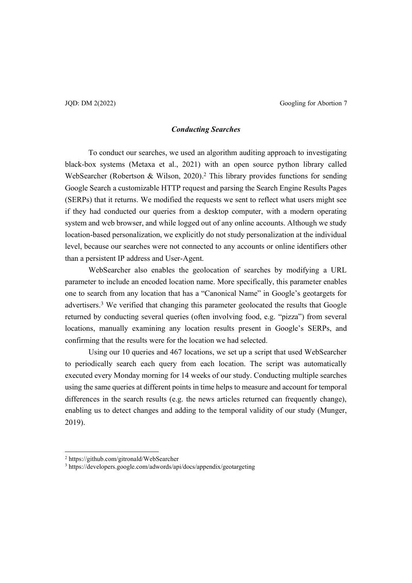# *Conducting Searches*

To conduct our searches, we used an algorithm auditing approach to investigating black-box systems (Metaxa et al., 2021) with an open source python library called WebSearcher (Robertson & Wilson, 2020).<sup>2</sup> This library provides functions for sending Google Search a customizable HTTP request and parsing the Search Engine Results Pages (SERPs) that it returns. We modified the requests we sent to reflect what users might see if they had conducted our queries from a desktop computer, with a modern operating system and web browser, and while logged out of any online accounts. Although we study location-based personalization, we explicitly do not study personalization at the individual level, because our searches were not connected to any accounts or online identifiers other than a persistent IP address and User-Agent.

WebSearcher also enables the geolocation of searches by modifying a URL parameter to include an encoded location name. More specifically, this parameter enables one to search from any location that has a "Canonical Name" in Google's geotargets for advertisers.3 We verified that changing this parameter geolocated the results that Google returned by conducting several queries (often involving food, e.g. "pizza") from several locations, manually examining any location results present in Google's SERPs, and confirming that the results were for the location we had selected.

Using our 10 queries and 467 locations, we set up a script that used WebSearcher to periodically search each query from each location. The script was automatically executed every Monday morning for 14 weeks of our study. Conducting multiple searches using the same queries at different points in time helps to measure and account for temporal differences in the search results (e.g. the news articles returned can frequently change), enabling us to detect changes and adding to the temporal validity of our study (Munger, 2019).

<sup>2</sup> https://github.com/gitronald/WebSearcher

<sup>3</sup> https://developers.google.com/adwords/api/docs/appendix/geotargeting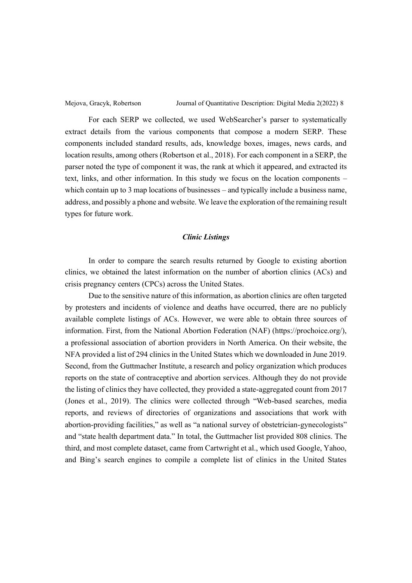For each SERP we collected, we used WebSearcher's parser to systematically extract details from the various components that compose a modern SERP. These components included standard results, ads, knowledge boxes, images, news cards, and location results, among others (Robertson et al., 2018). For each component in a SERP, the parser noted the type of component it was, the rank at which it appeared, and extracted its text, links, and other information. In this study we focus on the location components  $$ which contain up to 3 map locations of businesses  $-\$  and typically include a business name, address, and possibly a phone and website. We leave the exploration of the remaining result types for future work.

## *Clinic Listings*

In order to compare the search results returned by Google to existing abortion clinics, we obtained the latest information on the number of abortion clinics (ACs) and crisis pregnancy centers (CPCs) across the United States.

Due to the sensitive nature of this information, as abortion clinics are often targeted by protesters and incidents of violence and deaths have occurred, there are no publicly available complete listings of ACs. However, we were able to obtain three sources of information. First, from the National Abortion Federation (NAF) (https://prochoice.org/), a professional association of abortion providers in North America. On their website, the NFA provided a list of 294 clinics in the United States which we downloaded in June 2019. Second, from the Guttmacher Institute, a research and policy organization which produces reports on the state of contraceptive and abortion services. Although they do not provide the listing of clinics they have collected, they provided a state-aggregated count from 2017 (Jones et al., 2019). The clinics were collected through "Web-based searches, media reports, and reviews of directories of organizations and associations that work with abortion-providing facilities," as well as "a national survey of obstetrician-gynecologists" and "state health department data." In total, the Guttmacher list provided 808 clinics. The third, and most complete dataset, came from Cartwright et al., which used Google, Yahoo, and Bing's search engines to compile a complete list of clinics in the United States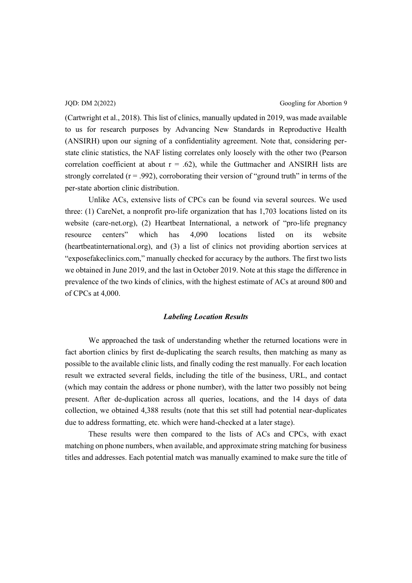(Cartwright et al., 2018). This list of clinics, manually updated in 2019, was made available to us for research purposes by Advancing New Standards in Reproductive Health (ANSIRH) upon our signing of a confidentiality agreement. Note that, considering perstate clinic statistics, the NAF listing correlates only loosely with the other two (Pearson correlation coefficient at about  $r = .62$ ), while the Guttmacher and ANSIRH lists are strongly correlated ( $r = .992$ ), corroborating their version of "ground truth" in terms of the per-state abortion clinic distribution.

Unlike ACs, extensive lists of CPCs can be found via several sources. We used three: (1) CareNet, a nonprofit pro-life organization that has 1,703 locations listed on its website (care-net.org), (2) Heartbeat International, a network of "pro-life pregnancy resource centers" which has 4,090 locations listed on its website (heartbeatinternational.org), and (3) a list of clinics not providing abortion services at "exposefakeclinics.com," manually checked for accuracy by the authors. The first two lists we obtained in June 2019, and the last in October 2019. Note at this stage the difference in prevalence of the two kinds of clinics, with the highest estimate of ACs at around 800 and of CPCs at 4,000.

## *Labeling Location Results*

We approached the task of understanding whether the returned locations were in fact abortion clinics by first de-duplicating the search results, then matching as many as possible to the available clinic lists, and finally coding the rest manually. For each location result we extracted several fields, including the title of the business, URL, and contact (which may contain the address or phone number), with the latter two possibly not being present. After de-duplication across all queries, locations, and the 14 days of data collection, we obtained 4,388 results (note that this set still had potential near-duplicates due to address formatting, etc. which were hand-checked at a later stage).

These results were then compared to the lists of ACs and CPCs, with exact matching on phone numbers, when available, and approximate string matching for business titles and addresses. Each potential match was manually examined to make sure the title of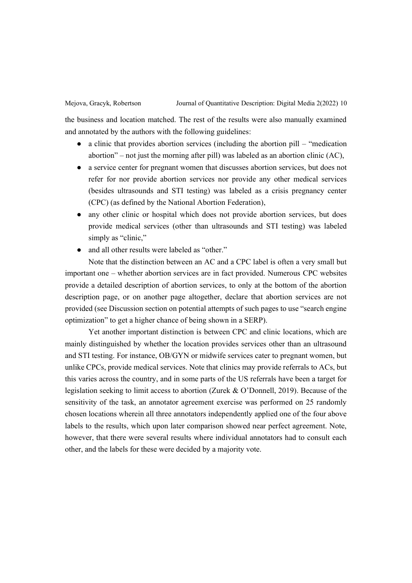the business and location matched. The rest of the results were also manually examined and annotated by the authors with the following guidelines:

- $\bullet$  a clinic that provides abortion services (including the abortion pill  $-$  "medication" abortion" – not just the morning after pill) was labeled as an abortion clinic  $(AC)$ ,
- භ a service center for pregnant women that discusses abortion services, but does not refer for nor provide abortion services nor provide any other medical services (besides ultrasounds and STI testing) was labeled as a crisis pregnancy center (CPC) (as defined by the National Abortion Federation),
- භ any other clinic or hospital which does not provide abortion services, but does provide medical services (other than ultrasounds and STI testing) was labeled simply as "clinic,"
- and all other results were labeled as "other."

Note that the distinction between an AC and a CPC label is often a very small but important one – whether abortion services are in fact provided. Numerous CPC websites provide a detailed description of abortion services, to only at the bottom of the abortion description page, or on another page altogether, declare that abortion services are not provided (see Discussion section on potential attempts of such pages to use "search engine" optimization" to get a higher chance of being shown in a SERP).

Yet another important distinction is between CPC and clinic locations, which are mainly distinguished by whether the location provides services other than an ultrasound and STI testing. For instance, OB/GYN or midwife services cater to pregnant women, but unlike CPCs, provide medical services. Note that clinics may provide referrals to ACs, but this varies across the country, and in some parts of the US referrals have been a target for legislation seeking to limit access to abortion (Zurek & O'Donnell, 2019). Because of the sensitivity of the task, an annotator agreement exercise was performed on 25 randomly chosen locations wherein all three annotators independently applied one of the four above labels to the results, which upon later comparison showed near perfect agreement. Note, however, that there were several results where individual annotators had to consult each other, and the labels for these were decided by a majority vote.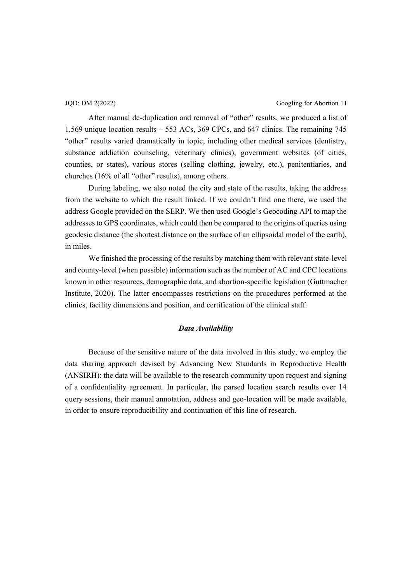JQD: DM 2(2022) Googling for Abortion 11

After manual de-duplication and removal of "other" results, we produced a list of 1,569 unique location results  $-553$  ACs, 369 CPCs, and 647 clinics. The remaining 745 "other" results varied dramatically in topic, including other medical services (dentistry, substance addiction counseling, veterinary clinics), government websites (of cities, counties, or states), various stores (selling clothing, jewelry, etc.), penitentiaries, and churches (16% of all "other" results), among others.

During labeling, we also noted the city and state of the results, taking the address from the website to which the result linked. If we couldn't find one there, we used the address Google provided on the SERP. We then used Google's Geocoding API to map the addresses to GPS coordinates, which could then be compared to the origins of queries using geodesic distance (the shortest distance on the surface of an ellipsoidal model of the earth), in miles.

We finished the processing of the results by matching them with relevant state-level and county-level (when possible) information such as the number of AC and CPC locations known in other resources, demographic data, and abortion-specific legislation (Guttmacher Institute, 2020). The latter encompasses restrictions on the procedures performed at the clinics, facility dimensions and position, and certification of the clinical staff.

## *Data Availability*

Because of the sensitive nature of the data involved in this study, we employ the data sharing approach devised by Advancing New Standards in Reproductive Health (ANSIRH): the data will be available to the research community upon request and signing of a confidentiality agreement. In particular, the parsed location search results over 14 query sessions, their manual annotation, address and geo-location will be made available, in order to ensure reproducibility and continuation of this line of research.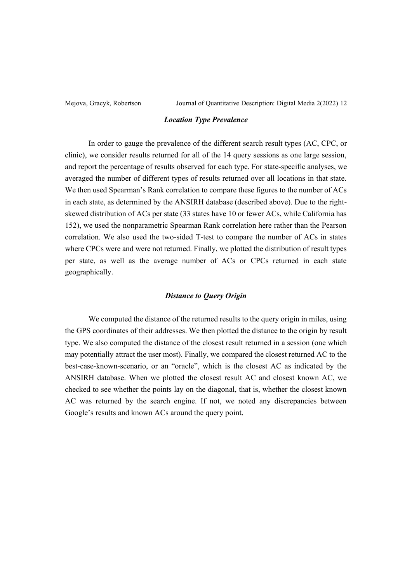## *Location Type Prevalence*

In order to gauge the prevalence of the different search result types (AC, CPC, or clinic), we consider results returned for all of the 14 query sessions as one large session, and report the percentage of results observed for each type. For state-specific analyses, we averaged the number of different types of results returned over all locations in that state. We then used Spearman's Rank correlation to compare these figures to the number of ACs in each state, as determined by the ANSIRH database (described above). Due to the rightskewed distribution of ACs per state (33 states have 10 or fewer ACs, while California has 152), we used the nonparametric Spearman Rank correlation here rather than the Pearson correlation. We also used the two-sided T-test to compare the number of ACs in states where CPCs were and were not returned. Finally, we plotted the distribution of result types per state, as well as the average number of ACs or CPCs returned in each state geographically.

# *Distance to Query Origin*

We computed the distance of the returned results to the query origin in miles, using the GPS coordinates of their addresses. We then plotted the distance to the origin by result type. We also computed the distance of the closest result returned in a session (one which may potentially attract the user most). Finally, we compared the closest returned AC to the best-case-known-scenario, or an "oracle", which is the closest AC as indicated by the ANSIRH database. When we plotted the closest result AC and closest known AC, we checked to see whether the points lay on the diagonal, that is, whether the closest known AC was returned by the search engine. If not, we noted any discrepancies between Google's results and known ACs around the query point.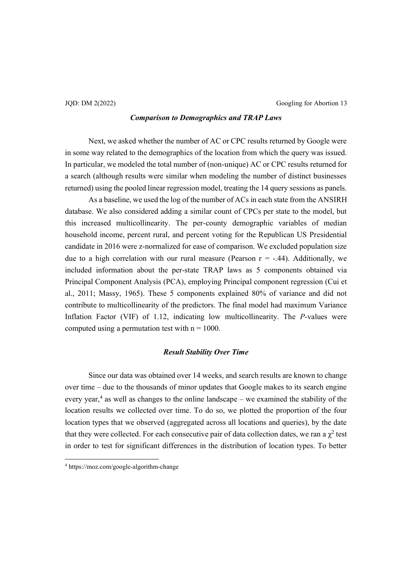# *Comparison to Demographics and TRAP Laws*

Next, we asked whether the number of AC or CPC results returned by Google were in some way related to the demographics of the location from which the query was issued. In particular, we modeled the total number of (non-unique) AC or CPC results returned for a search (although results were similar when modeling the number of distinct businesses returned) using the pooled linear regression model, treating the 14 query sessions as panels.

As a baseline, we used the log of the number of ACs in each state from the ANSIRH database. We also considered adding a similar count of CPCs per state to the model, but this increased multicollinearity. The per-county demographic variables of median household income, percent rural, and percent voting for the Republican US Presidential candidate in 2016 were z-normalized for ease of comparison. We excluded population size due to a high correlation with our rural measure (Pearson  $r = -.44$ ). Additionally, we included information about the per-state TRAP laws as 5 components obtained via Principal Component Analysis (PCA), employing Principal component regression (Cui et al., 2011; Massy, 1965). These 5 components explained 80% of variance and did not contribute to multicollinearity of the predictors. The final model had maximum Variance Inflation Factor (VIF) of 1.12, indicating low multicollinearity. The *P*-values were computed using a permutation test with  $n = 1000$ .

## *Result Stability Over Time*

Since our data was obtained over 14 weeks, and search results are known to change over time  $-\text{ due to the thousands of minor updates that Google makes to its search engine}$ every year,<sup>4</sup> as well as changes to the online landscape  $-$  we examined the stability of the location results we collected over time. To do so, we plotted the proportion of the four location types that we observed (aggregated across all locations and queries), by the date that they were collected. For each consecutive pair of data collection dates, we ran a  $\chi^2$  test in order to test for significant differences in the distribution of location types. To better

<sup>4</sup> https://moz.com/google-algorithm-change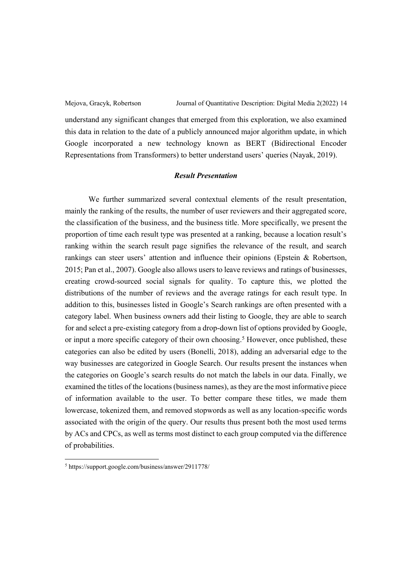understand any significant changes that emerged from this exploration, we also examined this data in relation to the date of a publicly announced major algorithm update, in which Google incorporated a new technology known as BERT (Bidirectional Encoder Representations from Transformers) to better understand users' queries (Nayak, 2019).

# *Result Presentation*

We further summarized several contextual elements of the result presentation, mainly the ranking of the results, the number of user reviewers and their aggregated score, the classification of the business, and the business title. More specifically, we present the proportion of time each result type was presented at a ranking, because a location result's ranking within the search result page signifies the relevance of the result, and search rankings can steer users' attention and influence their opinions (Epstein  $\&$  Robertson, 2015; Pan et al., 2007). Google also allows users to leave reviews and ratings of businesses, creating crowd-sourced social signals for quality. To capture this, we plotted the distributions of the number of reviews and the average ratings for each result type. In addition to this, businesses listed in Google's Search rankings are often presented with a category label. When business owners add their listing to Google, they are able to search for and select a pre-existing category from a drop-down list of options provided by Google, or input a more specific category of their own choosing. <sup>5</sup> However, once published, these categories can also be edited by users (Bonelli, 2018), adding an adversarial edge to the way businesses are categorized in Google Search. Our results present the instances when the categories on Google's search results do not match the labels in our data. Finally, we examined the titles of the locations (business names), as they are the most informative piece of information available to the user. To better compare these titles, we made them lowercase, tokenized them, and removed stopwords as well as any location-specific words associated with the origin of the query. Our results thus present both the most used terms by ACs and CPCs, as well as terms most distinct to each group computed via the difference of probabilities.

<sup>5</sup> https://support.google.com/business/answer/2911778/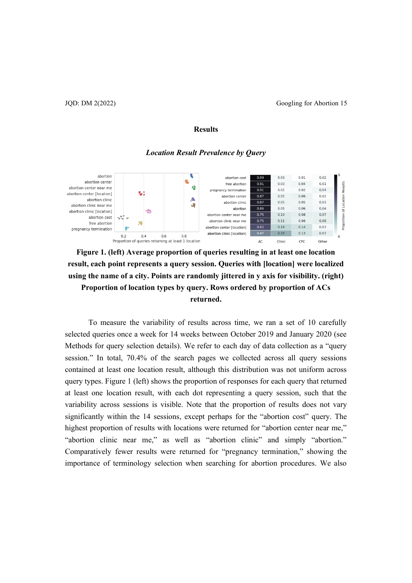### JQD: DM 2(2022) Googling for Abortion 15

### **Results**

### *Location Result Prevalence by Query*





To measure the variability of results across time, we ran a set of 10 carefully selected queries once a week for 14 weeks between October 2019 and January 2020 (see Methods for query selection details). We refer to each day of data collection as a "query session." In total,  $70.4\%$  of the search pages we collected across all query sessions contained at least one location result, although this distribution was not uniform across query types. Figure 1 (left) shows the proportion of responses for each query that returned at least one location result, with each dot representing a query session, such that the variability across sessions is visible. Note that the proportion of results does not vary significantly within the 14 sessions, except perhaps for the "abortion cost" query. The highest proportion of results with locations were returned for "abortion center near me," "abortion clinic near me," as well as "abortion clinic" and simply "abortion." Comparatively fewer results were returned for "pregnancy termination," showing the importance of terminology selection when searching for abortion procedures. We also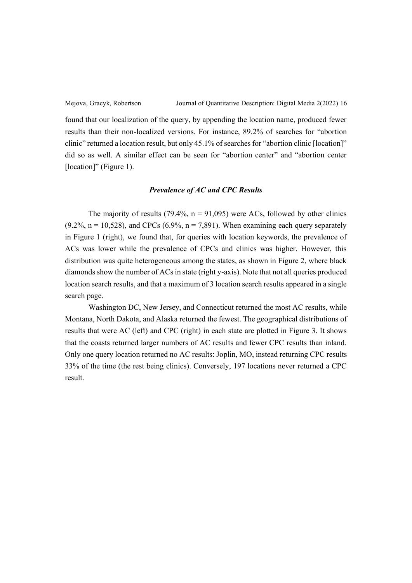found that our localization of the query, by appending the location name, produced fewer results than their non-localized versions. For instance, 89.2% of searches for "abortion clinic" returned a location result, but only 45.1% of searches for "abortion clinic [location]" did so as well. A similar effect can be seen for "abortion center" and "abortion center [location]" (Figure 1).

## *Prevalence of AC and CPC Results*

The majority of results (79.4%,  $n = 91,095$ ) were ACs, followed by other clinics  $(9.2\%, n = 10,528)$ , and CPCs  $(6.9\%, n = 7,891)$ . When examining each query separately in Figure 1 (right), we found that, for queries with location keywords, the prevalence of ACs was lower while the prevalence of CPCs and clinics was higher. However, this distribution was quite heterogeneous among the states, as shown in Figure 2, where black diamonds show the number of ACs in state (right y-axis). Note that not all queries produced location search results, and that a maximum of 3 location search results appeared in a single search page.

Washington DC, New Jersey, and Connecticut returned the most AC results, while Montana, North Dakota, and Alaska returned the fewest. The geographical distributions of results that were AC (left) and CPC (right) in each state are plotted in Figure 3. It shows that the coasts returned larger numbers of AC results and fewer CPC results than inland. Only one query location returned no AC results: Joplin, MO, instead returning CPC results 33% of the time (the rest being clinics). Conversely, 197 locations never returned a CPC result.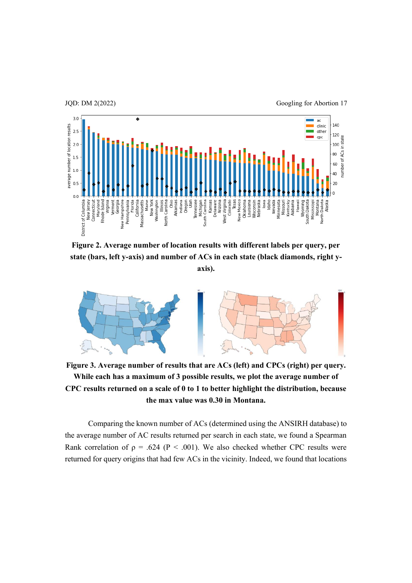

**Figure 2. Average number of location results with different labels per query, per state (bars, left y-axis) and number of ACs in each state (black diamonds, right yaxis).**



**Figure 3. Average number of results that are ACs (left) and CPCs (right) per query. While each has a maximum of 3 possible results, we plot the average number of CPC results returned on a scale of 0 to 1 to better highlight the distribution, because the max value was 0.30 in Montana.**

Comparing the known number of ACs (determined using the ANSIRH database) to the average number of AC results returned per search in each state, we found a Spearman Rank correlation of  $p = .624$  (P < .001). We also checked whether CPC results were returned for query origins that had few ACs in the vicinity. Indeed, we found that locations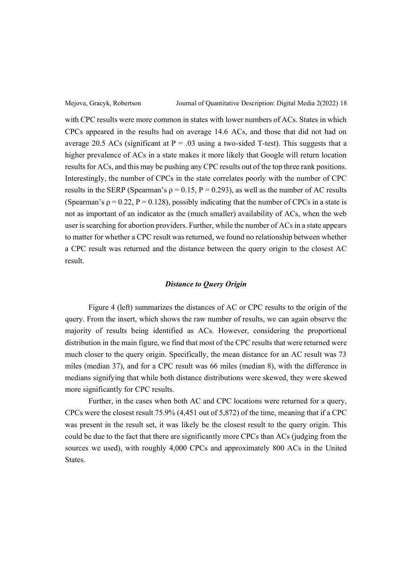with CPC results were more common in states with lower numbers of ACs. States in which CPCs appeared in the results had on average 14.6 ACs, and those that did not had on average 20.5 ACs (significant at  $P = .03$  using a two-sided T-test). This suggests that a higher prevalence of ACs in a state makes it more likely that Google will return location results for ACs, and this may be pushing any CPC results out of the top three rank positions. Interestingly, the number of CPCs in the state correlates poorly with the number of CPC results in the SERP (Spearman's  $\rho = 0.15$ ,  $P = 0.293$ ), as well as the number of AC results (Spearman's  $\rho = 0.22$ ,  $P = 0.128$ ), possibly indicating that the number of CPCs in a state is not as important of an indicator as the (much smaller) availability of ACs, when the web user is searching for abortion providers. Further, while the number of ACs in a state appears to matter for whether a CPC result was returned, we found no relationship between whether a CPC result was returned and the distance between the query origin to the closest AC result.

## *Distance to Query Origin*

Figure 4 (left) summarizes the distances of AC or CPC results to the origin of the query. From the insert, which shows the raw number of results, we can again observe the majority of results being identified as ACs. However, considering the proportional distribution in the main figure, we find that most of the CPC results that were returned were much closer to the query origin. Specifically, the mean distance for an AC result was 73 miles (median 37), and for a CPC result was 66 miles (median 8), with the difference in medians signifying that while both distance distributions were skewed, they were skewed more significantly for CPC results.

Further, in the cases when both AC and CPC locations were returned for a query, CPCs were the closest result 75.9% (4,451 out of 5,872) of the time, meaning that if a CPC was present in the result set, it was likely be the closest result to the query origin. This could be due to the fact that there are significantly more CPCs than ACs (judging from the sources we used), with roughly 4,000 CPCs and approximately 800 ACs in the United **States**.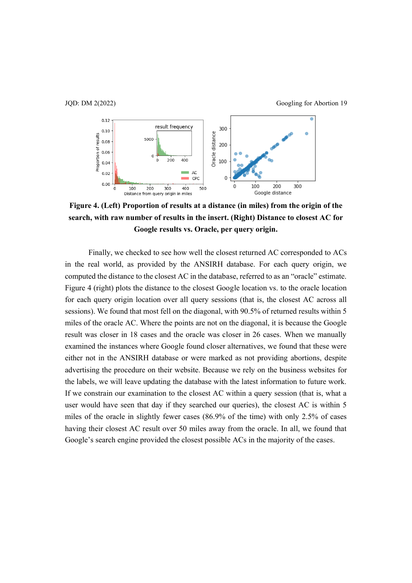

**Figure 4. (Left) Proportion of results at a distance (in miles) from the origin of the search, with raw number of results in the insert. (Right) Distance to closest AC for Google results vs. Oracle, per query origin.**

Finally, we checked to see how well the closest returned AC corresponded to ACs in the real world, as provided by the ANSIRH database. For each query origin, we computed the distance to the closest AC in the database, referred to as an "oracle" estimate. Figure 4 (right) plots the distance to the closest Google location vs. to the oracle location for each query origin location over all query sessions (that is, the closest AC across all sessions). We found that most fell on the diagonal, with 90.5% of returned results within 5 miles of the oracle AC. Where the points are not on the diagonal, it is because the Google result was closer in 18 cases and the oracle was closer in 26 cases. When we manually examined the instances where Google found closer alternatives, we found that these were either not in the ANSIRH database or were marked as not providing abortions, despite advertising the procedure on their website. Because we rely on the business websites for the labels, we will leave updating the database with the latest information to future work. If we constrain our examination to the closest AC within a query session (that is, what a user would have seen that day if they searched our queries), the closest AC is within 5 miles of the oracle in slightly fewer cases (86.9% of the time) with only 2.5% of cases having their closest AC result over 50 miles away from the oracle. In all, we found that Google's search engine provided the closest possible ACs in the majority of the cases.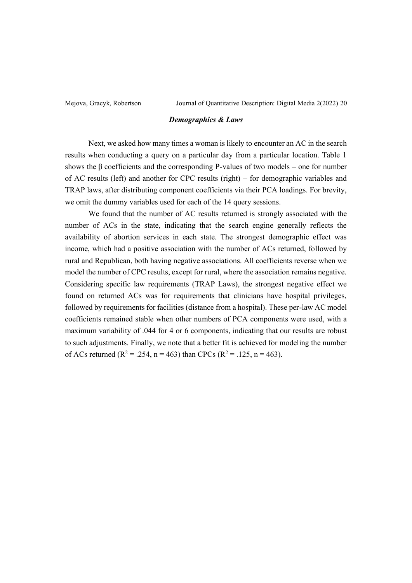## *Demographics & Laws*

Next, we asked how many times a woman is likely to encounter an AC in the search results when conducting a query on a particular day from a particular location. Table 1 shows the  $\beta$  coefficients and the corresponding P-values of two models – one for number of AC results (left) and another for CPC results (right)  $-$  for demographic variables and TRAP laws, after distributing component coefficients via their PCA loadings. For brevity, we omit the dummy variables used for each of the 14 query sessions.

We found that the number of AC results returned is strongly associated with the number of ACs in the state, indicating that the search engine generally reflects the availability of abortion services in each state. The strongest demographic effect was income, which had a positive association with the number of ACs returned, followed by rural and Republican, both having negative associations. All coefficients reverse when we model the number of CPC results, except for rural, where the association remains negative. Considering specific law requirements (TRAP Laws), the strongest negative effect we found on returned ACs was for requirements that clinicians have hospital privileges, followed by requirements for facilities (distance from a hospital). These per-law AC model coefficients remained stable when other numbers of PCA components were used, with a maximum variability of .044 for 4 or 6 components, indicating that our results are robust to such adjustments. Finally, we note that a better fit is achieved for modeling the number of ACs returned ( $R^2 = .254$ , n = 463) than CPCs ( $R^2 = .125$ , n = 463).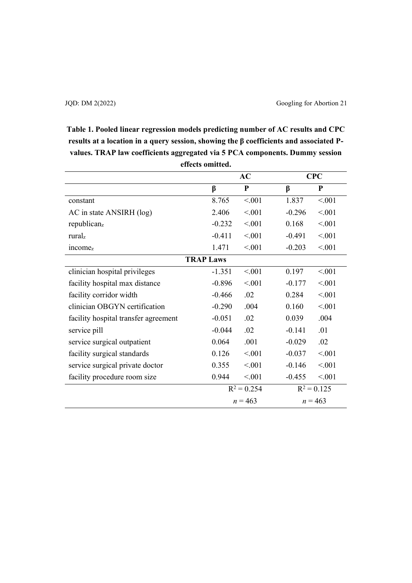**Table 1. Pooled linear regression models predicting number of AC results and CPC**  results at a location in a query session, showing the  $\beta$  coefficients and associated P**values. TRAP law coefficients aggregated via 5 PCA components. Dummy session effects omitted.**

|                                      | AC            |           | <b>CPC</b>    |           |
|--------------------------------------|---------------|-----------|---------------|-----------|
|                                      | β             | ${\bf P}$ | β             | ${\bf P}$ |
| constant                             | 8.765         | < 0.01    | 1.837         | < 0.01    |
| AC in state ANSIRH (log)             | 2.406         | < 0.01    | $-0.296$      | < 0.01    |
| republicanz                          | $-0.232$      | < 0.01    | 0.168         | < 0.01    |
| ruralz                               | $-0.411$      | < 0.01    | $-0.491$      | < 0.01    |
| income <sub>z</sub>                  | 1.471         | < 0.01    | $-0.203$      | < 0.01    |
| <b>TRAP Laws</b>                     |               |           |               |           |
| clinician hospital privileges        | $-1.351$      | < 0.01    | 0.197         | < 0.01    |
| facility hospital max distance       | $-0.896$      | < 0.01    | $-0.177$      | < 0.01    |
| facility corridor width              | $-0.466$      | .02       | 0.284         | < 0.01    |
| clinician OBGYN certification        | $-0.290$      | .004      | 0.160         | < 0.01    |
| facility hospital transfer agreement | $-0.051$      | .02       | 0.039         | .004      |
| service pill                         | $-0.044$      | .02       | $-0.141$      | .01       |
| service surgical outpatient          | 0.064         | .001      | $-0.029$      | .02       |
| facility surgical standards          | 0.126         | < 0.01    | $-0.037$      | < 0.01    |
| service surgical private doctor      | 0.355         | < 0.01    | $-0.146$      | < 0.01    |
| facility procedure room size         | 0.944         | < 0.01    | $-0.455$      | < 0.01    |
|                                      | $R^2 = 0.254$ |           | $R^2 = 0.125$ |           |
|                                      | $n = 463$     |           | $n = 463$     |           |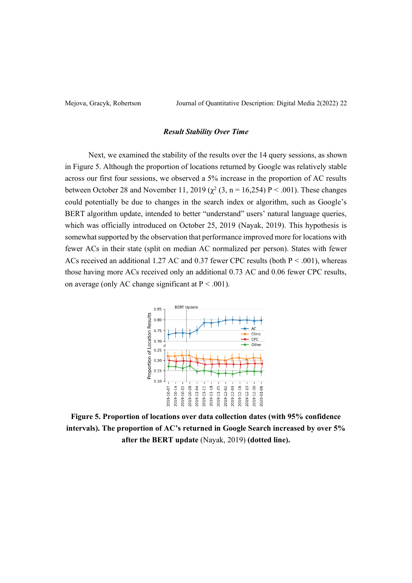### *Result Stability Over Time*

Next, we examined the stability of the results over the 14 query sessions, as shown in Figure 5. Although the proportion of locations returned by Google was relatively stable across our first four sessions, we observed a 5% increase in the proportion of AC results between October 28 and November 11, 2019 ( $\chi^2$  (3, n = 16,254) P < .001). These changes could potentially be due to changes in the search index or algorithm, such as Google's BERT algorithm update, intended to better "understand" users' natural language queries, which was officially introduced on October 25, 2019 (Nayak, 2019). This hypothesis is somewhat supported by the observation that performance improved more for locations with fewer ACs in their state (split on median AC normalized per person). States with fewer ACs received an additional 1.27 AC and 0.37 fewer CPC results (both  $P < .001$ ), whereas those having more ACs received only an additional 0.73 AC and 0.06 fewer CPC results, on average (only AC change significant at  $P < .001$ ).



**Figure 5. Proportion of locations over data collection dates (with 95% confidence**  intervals). The proportion of AC's returned in Google Search increased by over 5% **after the BERT update** (Nayak, 2019) **(dotted line).**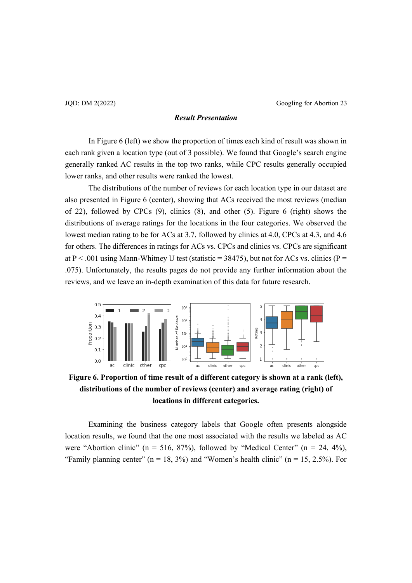JQD: DM 2(2022) Googling for Abortion 23

## *Result Presentation*

In Figure 6 (left) we show the proportion of times each kind of result was shown in each rank given a location type (out of 3 possible). We found that Google's search engine generally ranked AC results in the top two ranks, while CPC results generally occupied lower ranks, and other results were ranked the lowest.

The distributions of the number of reviews for each location type in our dataset are also presented in Figure 6 (center), showing that ACs received the most reviews (median of 22), followed by CPCs (9), clinics (8), and other (5). Figure 6 (right) shows the distributions of average ratings for the locations in the four categories. We observed the lowest median rating to be for ACs at 3.7, followed by clinics at 4.0, CPCs at 4.3, and 4.6 for others. The differences in ratings for ACs vs. CPCs and clinics vs. CPCs are significant at P < .001 using Mann-Whitney U test (statistic = 38475), but not for ACs vs. clinics (P = .075). Unfortunately, the results pages do not provide any further information about the reviews, and we leave an in-depth examination of this data for future research.



**Figure 6. Proportion of time result of a different category is shown at a rank (left), distributions of the number of reviews (center) and average rating (right) of locations in different categories.**

Examining the business category labels that Google often presents alongside location results, we found that the one most associated with the results we labeled as AC were "Abortion clinic" ( $n = 516, 87\%$ ), followed by "Medical Center" ( $n = 24, 4\%$ ), "Family planning center" ( $n = 18, 3\%$ ) and "Women's health clinic" ( $n = 15, 2.5\%$ ). For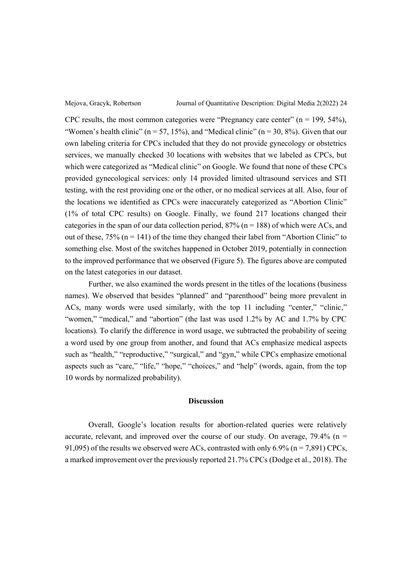CPC results, the most common categories were "Pregnancy care center" ( $n = 199, 54\%$ ), "Women's health clinic" ( $n = 57, 15\%$ ), and "Medical clinic" ( $n = 30, 8\%$ ). Given that our own labeling criteria for CPCs included that they do not provide gynecology or obstetrics services, we manually checked 30 locations with websites that we labeled as CPCs, but which were categorized as "Medical clinic" on Google. We found that none of these CPCs provided gynecological services: only 14 provided limited ultrasound services and STI testing, with the rest providing one or the other, or no medical services at all. Also, four of the locations we identified as CPCs were inaccurately categorized as "Abortion Clinic" (1% of total CPC results) on Google. Finally, we found 217 locations changed their categories in the span of our data collection period,  $87\%$  (n = 188) of which were ACs, and out of these,  $75\%$  (n = 141) of the time they changed their label from "Abortion Clinic" to something else. Most of the switches happened in October 2019, potentially in connection to the improved performance that we observed (Figure 5). The figures above are computed on the latest categories in our dataset.

Further, we also examined the words present in the titles of the locations (business names). We observed that besides "planned" and "parenthood" being more prevalent in ACs, many words were used similarly, with the top 11 including "center," "clinic," "women," "medical," and "abortion" (the last was used 1.2% by AC and 1.7% by CPC locations). To clarify the difference in word usage, we subtracted the probability of seeing a word used by one group from another, and found that ACs emphasize medical aspects such as "health," "reproductive," "surgical," and "gyn," while CPCs emphasize emotional aspects such as "care," "life," "hope," "choices," and "help" (words, again, from the top 10 words by normalized probability).

## **Discussion**

Overall, Google's location results for abortion-related queries were relatively accurate, relevant, and improved over the course of our study. On average,  $79.4\%$  (n = 91,095) of the results we observed were ACs, contrasted with only  $6.9\%$  (n = 7,891) CPCs, a marked improvement over the previously reported 21.7% CPCs (Dodge et al., 2018). The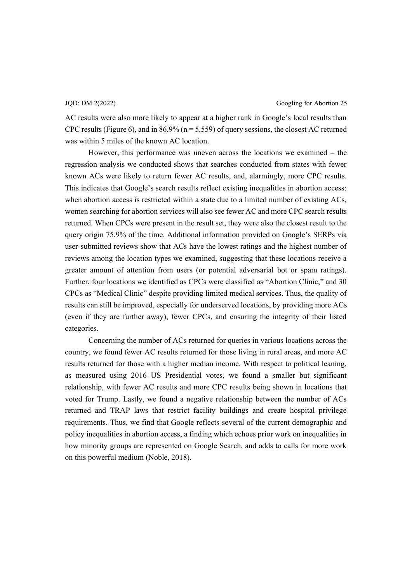JQD: DM 2(2022) Googling for Abortion 25

AC results were also more likely to appear at a higher rank in Google's local results than CPC results (Figure 6), and in 86.9% ( $n = 5,559$ ) of query sessions, the closest AC returned was within 5 miles of the known AC location.

However, this performance was uneven across the locations we examined  $-$  the regression analysis we conducted shows that searches conducted from states with fewer known ACs were likely to return fewer AC results, and, alarmingly, more CPC results. This indicates that Google's search results reflect existing inequalities in abortion access: when abortion access is restricted within a state due to a limited number of existing ACs, women searching for abortion services will also see fewer AC and more CPC search results returned. When CPCs were present in the result set, they were also the closest result to the query origin 75.9% of the time. Additional information provided on Google's SERPs via user-submitted reviews show that ACs have the lowest ratings and the highest number of reviews among the location types we examined, suggesting that these locations receive a greater amount of attention from users (or potential adversarial bot or spam ratings). Further, four locations we identified as CPCs were classified as "Abortion Clinic," and 30 CPCs as "Medical Clinic" despite providing limited medical services. Thus, the quality of results can still be improved, especially for underserved locations, by providing more ACs (even if they are further away), fewer CPCs, and ensuring the integrity of their listed categories.

Concerning the number of ACs returned for queries in various locations across the country, we found fewer AC results returned for those living in rural areas, and more AC results returned for those with a higher median income. With respect to political leaning, as measured using 2016 US Presidential votes, we found a smaller but significant relationship, with fewer AC results and more CPC results being shown in locations that voted for Trump. Lastly, we found a negative relationship between the number of ACs returned and TRAP laws that restrict facility buildings and create hospital privilege requirements. Thus, we find that Google reflects several of the current demographic and policy inequalities in abortion access, a finding which echoes prior work on inequalities in how minority groups are represented on Google Search, and adds to calls for more work on this powerful medium (Noble, 2018).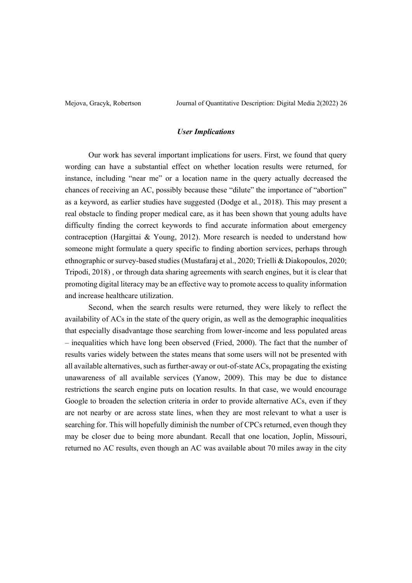## *User Implications*

Our work has several important implications for users. First, we found that query wording can have a substantial effect on whether location results were returned, for instance, including "near me" or a location name in the query actually decreased the chances of receiving an AC, possibly because these "dilute" the importance of "abortion" as a keyword, as earlier studies have suggested (Dodge et al., 2018). This may present a real obstacle to finding proper medical care, as it has been shown that young adults have difficulty finding the correct keywords to find accurate information about emergency contraception (Hargittai & Young, 2012). More research is needed to understand how someone might formulate a query specific to finding abortion services, perhaps through ethnographic or survey-based studies (Mustafaraj et al., 2020; Trielli & Diakopoulos, 2020; Tripodi, 2018) , or through data sharing agreements with search engines, but it is clear that promoting digital literacy may be an effective way to promote access to quality information and increase healthcare utilization.

Second, when the search results were returned, they were likely to reflect the availability of ACs in the state of the query origin, as well as the demographic inequalities that especially disadvantage those searching from lower-income and less populated areas ± inequalities which have long been observed (Fried, 2000). The fact that the number of results varies widely between the states means that some users will not be presented with all available alternatives, such as further-away or out-of-state ACs, propagating the existing unawareness of all available services (Yanow, 2009). This may be due to distance restrictions the search engine puts on location results. In that case, we would encourage Google to broaden the selection criteria in order to provide alternative ACs, even if they are not nearby or are across state lines, when they are most relevant to what a user is searching for. This will hopefully diminish the number of CPCs returned, even though they may be closer due to being more abundant. Recall that one location, Joplin, Missouri, returned no AC results, even though an AC was available about 70 miles away in the city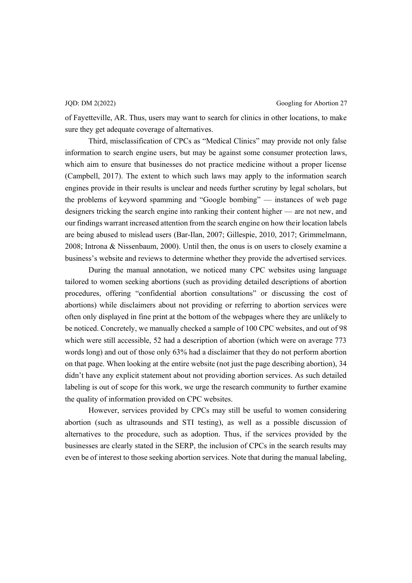of Fayetteville, AR. Thus, users may want to search for clinics in other locations, to make sure they get adequate coverage of alternatives.

Third, misclassification of CPCs as "Medical Clinics" may provide not only false information to search engine users, but may be against some consumer protection laws, which aim to ensure that businesses do not practice medicine without a proper license (Campbell, 2017). The extent to which such laws may apply to the information search engines provide in their results is unclear and needs further scrutiny by legal scholars, but the problems of keyword spamming and "Google bombing"  $-$  instances of web page designers tricking the search engine into ranking their content higher  $\frac{ }{ }$  are not new, and our findings warrant increased attention from the search engine on how their location labels are being abused to mislead users (Bar-Ilan, 2007; Gillespie, 2010, 2017; Grimmelmann, 2008; Introna & Nissenbaum, 2000). Until then, the onus is on users to closely examine a business's website and reviews to determine whether they provide the advertised services.

During the manual annotation, we noticed many CPC websites using language tailored to women seeking abortions (such as providing detailed descriptions of abortion procedures, offering "confidential abortion consultations" or discussing the cost of abortions) while disclaimers about not providing or referring to abortion services were often only displayed in fine print at the bottom of the webpages where they are unlikely to be noticed. Concretely, we manually checked a sample of 100 CPC websites, and out of 98 which were still accessible, 52 had a description of abortion (which were on average 773 words long) and out of those only 63% had a disclaimer that they do not perform abortion on that page. When looking at the entire website (not just the page describing abortion), 34 didn't have any explicit statement about not providing abortion services. As such detailed labeling is out of scope for this work, we urge the research community to further examine the quality of information provided on CPC websites.

However, services provided by CPCs may still be useful to women considering abortion (such as ultrasounds and STI testing), as well as a possible discussion of alternatives to the procedure, such as adoption. Thus, if the services provided by the businesses are clearly stated in the SERP, the inclusion of CPCs in the search results may even be of interest to those seeking abortion services. Note that during the manual labeling,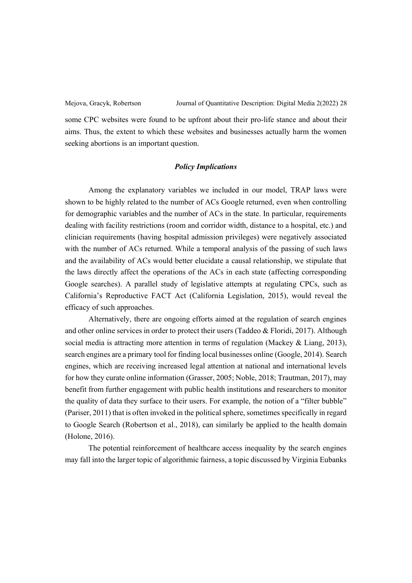some CPC websites were found to be upfront about their pro-life stance and about their aims. Thus, the extent to which these websites and businesses actually harm the women seeking abortions is an important question.

## *Policy Implications*

Among the explanatory variables we included in our model, TRAP laws were shown to be highly related to the number of ACs Google returned, even when controlling for demographic variables and the number of ACs in the state. In particular, requirements dealing with facility restrictions (room and corridor width, distance to a hospital, etc.) and clinician requirements (having hospital admission privileges) were negatively associated with the number of ACs returned. While a temporal analysis of the passing of such laws and the availability of ACs would better elucidate a causal relationship, we stipulate that the laws directly affect the operations of the ACs in each state (affecting corresponding Google searches). A parallel study of legislative attempts at regulating CPCs, such as California's Reproductive FACT Act (California Legislation, 2015), would reveal the efficacy of such approaches.

Alternatively, there are ongoing efforts aimed at the regulation of search engines and other online services in order to protect their users (Taddeo & Floridi, 2017). Although social media is attracting more attention in terms of regulation (Mackey & Liang, 2013), search engines are a primary tool for finding local businesses online (Google, 2014). Search engines, which are receiving increased legal attention at national and international levels for how they curate online information (Grasser, 2005; Noble, 2018; Trautman, 2017), may benefit from further engagement with public health institutions and researchers to monitor the quality of data they surface to their users. For example, the notion of a "filter bubble" (Pariser, 2011) that is often invoked in the political sphere, sometimes specifically in regard to Google Search (Robertson et al., 2018), can similarly be applied to the health domain (Holone, 2016).

The potential reinforcement of healthcare access inequality by the search engines may fall into the larger topic of algorithmic fairness, a topic discussed by Virginia Eubanks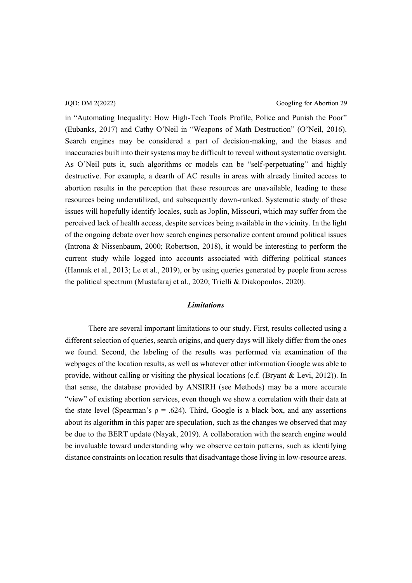in "Automating Inequality: How High-Tech Tools Profile, Police and Punish the Poor" (Eubanks, 2017) and Cathy O'Neil in "Weapons of Math Destruction" (O'Neil, 2016). Search engines may be considered a part of decision-making, and the biases and inaccuracies built into their systems may be difficult to reveal without systematic oversight. As O'Neil puts it, such algorithms or models can be "self-perpetuating" and highly destructive. For example, a dearth of AC results in areas with already limited access to abortion results in the perception that these resources are unavailable, leading to these resources being underutilized, and subsequently down-ranked. Systematic study of these issues will hopefully identify locales, such as Joplin, Missouri, which may suffer from the perceived lack of health access, despite services being available in the vicinity. In the light of the ongoing debate over how search engines personalize content around political issues (Introna & Nissenbaum, 2000; Robertson, 2018), it would be interesting to perform the current study while logged into accounts associated with differing political stances (Hannak et al., 2013; Le et al., 2019), or by using queries generated by people from across the political spectrum (Mustafaraj et al., 2020; Trielli & Diakopoulos, 2020).

## *Limitations*

There are several important limitations to our study. First, results collected using a different selection of queries, search origins, and query days will likely differ from the ones we found. Second, the labeling of the results was performed via examination of the webpages of the location results, as well as whatever other information Google was able to provide, without calling or visiting the physical locations (c.f. (Bryant & Levi, 2012)). In that sense, the database provided by ANSIRH (see Methods) may be a more accurate "view" of existing abortion services, even though we show a correlation with their data at the state level (Spearman's  $\rho = .624$ ). Third, Google is a black box, and any assertions about its algorithm in this paper are speculation, such as the changes we observed that may be due to the BERT update (Nayak, 2019). A collaboration with the search engine would be invaluable toward understanding why we observe certain patterns, such as identifying distance constraints on location results that disadvantage those living in low-resource areas.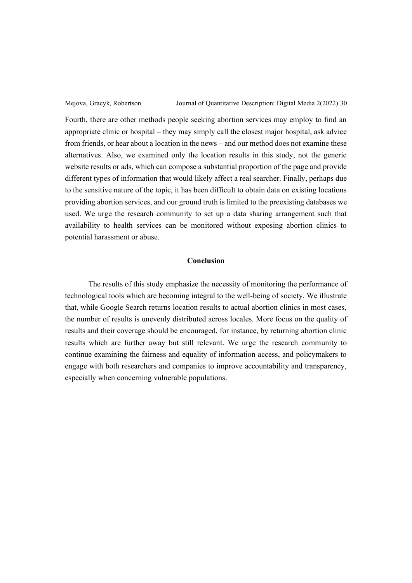Fourth, there are other methods people seeking abortion services may employ to find an appropriate clinic or hospital  $-$  they may simply call the closest major hospital, ask advice from friends, or hear about a location in the news  $-$  and our method does not examine these alternatives. Also, we examined only the location results in this study, not the generic website results or ads, which can compose a substantial proportion of the page and provide different types of information that would likely affect a real searcher. Finally, perhaps due to the sensitive nature of the topic, it has been difficult to obtain data on existing locations providing abortion services, and our ground truth is limited to the preexisting databases we used. We urge the research community to set up a data sharing arrangement such that availability to health services can be monitored without exposing abortion clinics to potential harassment or abuse.

## **Conclusion**

The results of this study emphasize the necessity of monitoring the performance of technological tools which are becoming integral to the well-being of society. We illustrate that, while Google Search returns location results to actual abortion clinics in most cases, the number of results is unevenly distributed across locales. More focus on the quality of results and their coverage should be encouraged, for instance, by returning abortion clinic results which are further away but still relevant. We urge the research community to continue examining the fairness and equality of information access, and policymakers to engage with both researchers and companies to improve accountability and transparency, especially when concerning vulnerable populations.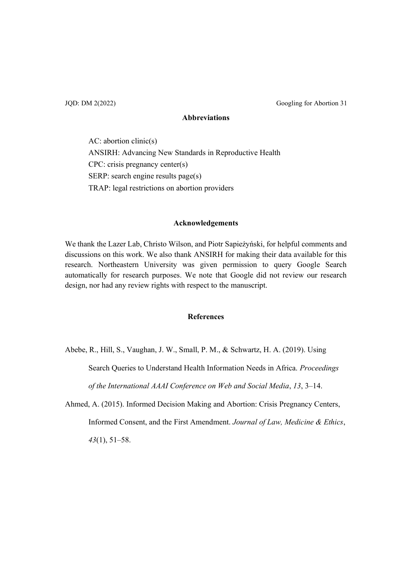JQD: DM 2(2022) Googling for Abortion 31

# **Abbreviations**

AC: abortion clinic(s) ANSIRH: Advancing New Standards in Reproductive Health CPC: crisis pregnancy center(s) SERP: search engine results page(s) TRAP: legal restrictions on abortion providers

# **Acknowledgements**

We thank the Lazer Lab, Christo Wilson, and Piotr Sapieżyński, for helpful comments and discussions on this work. We also thank ANSIRH for making their data available for this research. Northeastern University was given permission to query Google Search automatically for research purposes. We note that Google did not review our research design, nor had any review rights with respect to the manuscript.

# **References**

Abebe, R., Hill, S., Vaughan, J. W., Small, P. M., & Schwartz, H. A. (2019). Using

Search Queries to Understand Health Information Needs in Africa. *Proceedings* 

*of the International AAAI Conference on Web and Social Media, 13, 3-14.* 

Ahmed, A. (2015). Informed Decision Making and Abortion: Crisis Pregnancy Centers, Informed Consent, and the First Amendment. *Journal of Law, Medicine & Ethics*,  $43(1), 51-58.$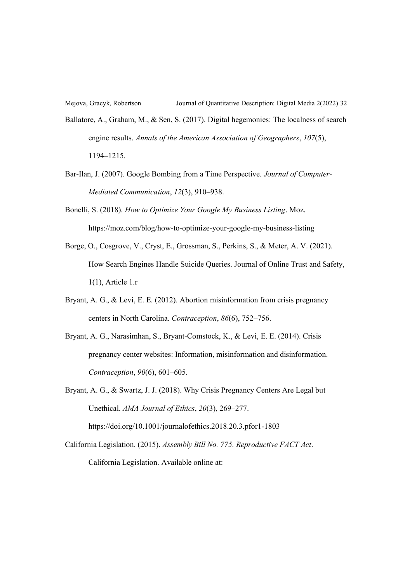Ballatore, A., Graham, M., & Sen, S. (2017). Digital hegemonies: The localness of search engine results. *Annals of the American Association of Geographers*, *107*(5), 1194±1215.

Bar-Ilan, J. (2007). Google Bombing from a Time Perspective. *Journal of Computer-Mediated Communication, 12(3), 910-938.* 

Bonelli, S. (2018). *How to Optimize Your Google My Business Listing*. Moz. https://moz.com/blog/how-to-optimize-your-google-my-business-listing

- Borge, O., Cosgrove, V., Cryst, E., Grossman, S., Perkins, S., & Meter, A. V. (2021). How Search Engines Handle Suicide Queries. Journal of Online Trust and Safety, 1(1), Article 1.r
- Bryant, A. G., & Levi, E. E. (2012). Abortion misinformation from crisis pregnancy centers in North Carolina. *Contraception*,  $86(6)$ , 752-756.
- Bryant, A. G., Narasimhan, S., Bryant-Comstock, K., & Levi, E. E. (2014). Crisis pregnancy center websites: Information, misinformation and disinformation. *Contraception*,  $90(6)$ ,  $601-605$ .

Bryant, A. G., & Swartz, J. J. (2018). Why Crisis Pregnancy Centers Are Legal but Unethical. *AMA Journal of Ethics*, 20(3), 269-277. https://doi.org/10.1001/journalofethics.2018.20.3.pfor1-1803

California Legislation. (2015). *Assembly Bill No. 775. Reproductive FACT Act*. California Legislation. Available online at: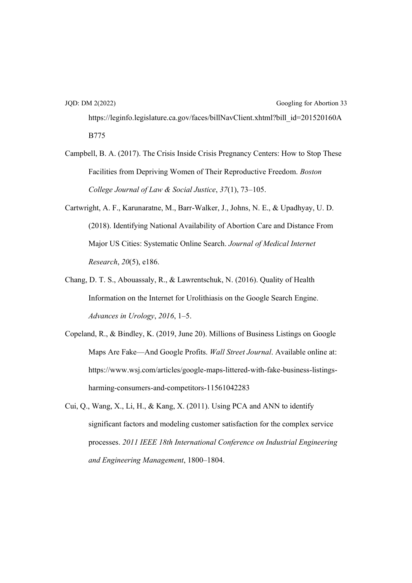JQD: DM 2(2022) Googling for Abortion 33 https://leginfo.legislature.ca.gov/faces/billNavClient.xhtml?bill\_id=201520160A B775

- Campbell, B. A. (2017). The Crisis Inside Crisis Pregnancy Centers: How to Stop These Facilities from Depriving Women of Their Reproductive Freedom. *Boston College Journal of Law & Social Justice*,  $37(1)$ ,  $73-105$ .
- Cartwright, A. F., Karunaratne, M., Barr-Walker, J., Johns, N. E., & Upadhyay, U. D. (2018). Identifying National Availability of Abortion Care and Distance From Major US Cities: Systematic Online Search. *Journal of Medical Internet Research*, *20*(5), e186.
- Chang, D. T. S., Abouassaly, R., & Lawrentschuk, N. (2016). Quality of Health Information on the Internet for Urolithiasis on the Google Search Engine. *Advances in Urology*, 2016, 1–5.
- Copeland, R., & Bindley, K. (2019, June 20). Millions of Business Listings on Google Maps Are Fake—And Google Profits. *Wall Street Journal*. Available online at: https://www.wsj.com/articles/google-maps-littered-with-fake-business-listingsharming-consumers-and-competitors-11561042283
- Cui, Q., Wang, X., Li, H., & Kang, X. (2011). Using PCA and ANN to identify significant factors and modeling customer satisfaction for the complex service processes. *2011 IEEE 18th International Conference on Industrial Engineering*  and Engineering Management, 1800-1804.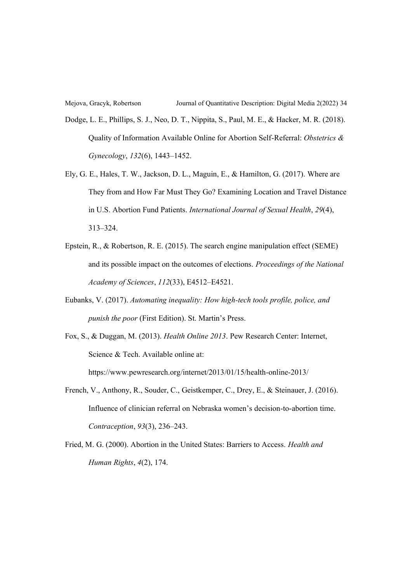- Dodge, L. E., Phillips, S. J., Neo, D. T., Nippita, S., Paul, M. E., & Hacker, M. R. (2018). Quality of Information Available Online for Abortion Self-Referral: *Obstetrics & Gynecology*,  $132(6)$ , 1443-1452.
- Ely, G. E., Hales, T. W., Jackson, D. L., Maguin, E., & Hamilton, G. (2017). Where are They from and How Far Must They Go? Examining Location and Travel Distance in U.S. Abortion Fund Patients. *International Journal of Sexual Health*, *29*(4), 313±324.
- Epstein, R., & Robertson, R. E. (2015). The search engine manipulation effect (SEME) and its possible impact on the outcomes of elections. *Proceedings of the National Academy of Sciences, 112(33), E4512-E4521.*
- Eubanks, V. (2017). *Automating inequality: How high-tech tools profile, police, and punish the poor* (First Edition). St. Martin's Press.
- Fox, S., & Duggan, M. (2013). *Health Online 2013*. Pew Research Center: Internet, Science & Tech. Available online at: https://www.pewresearch.org/internet/2013/01/15/health-online-2013/
- French, V., Anthony, R., Souder, C., Geistkemper, C., Drey, E., & Steinauer, J. (2016). Influence of clinician referral on Nebraska women's decision-to-abortion time. *Contraception, 93(3), 236-243.*
- Fried, M. G. (2000). Abortion in the United States: Barriers to Access. *Health and Human Rights*, *4*(2), 174.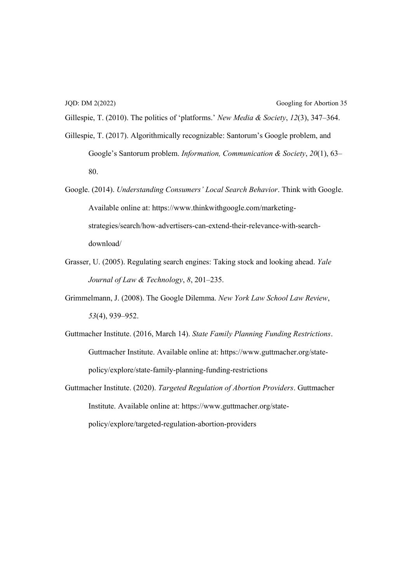Gillespie, T. (2010). The politics of 'platforms.' New Media & Society,  $12(3)$ , 347–364.

- Gillespie, T. (2017). Algorithmically recognizable: Santorum's Google problem, and  $\Delta$ Google's Santorum problem. *Information, Communication & Society*, *20*(1), 63– 80.
- Google. (2014). *Understanding Consumers' Local Search Behavior*. Think with Google. Available online at: https://www.thinkwithgoogle.com/marketingstrategies/search/how-advertisers-can-extend-their-relevance-with-searchdownload/
- Grasser, U. (2005). Regulating search engines: Taking stock and looking ahead. *Yale Journal of Law & Technology*, 8, 201-235.
- Grimmelmann, J. (2008). The Google Dilemma. *New York Law School Law Review*, 53(4), 939–952.
- Guttmacher Institute. (2016, March 14). *State Family Planning Funding Restrictions*. Guttmacher Institute. Available online at: https://www.guttmacher.org/statepolicy/explore/state-family-planning-funding-restrictions
- Guttmacher Institute. (2020). *Targeted Regulation of Abortion Providers*. Guttmacher Institute. Available online at: https://www.guttmacher.org/statepolicy/explore/targeted-regulation-abortion-providers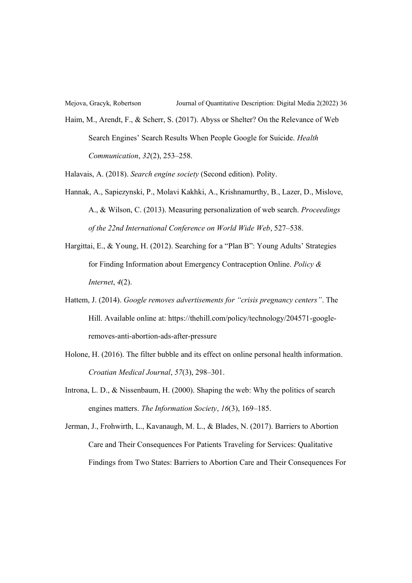Haim, M., Arendt, F., & Scherr, S. (2017). Abyss or Shelter? On the Relevance of Web Search Engines' Search Results When People Google for Suicide. *Health Communication, 32(2), 253-258.* 

Halavais, A. (2018). *Search engine society* (Second edition). Polity.

- Hannak, A., Sapiezynski, P., Molavi Kakhki, A., Krishnamurthy, B., Lazer, D., Mislove, A., & Wilson, C. (2013). Measuring personalization of web search. *Proceedings*  of the 22nd International Conference on World Wide Web, 527-538.
- Hargittai, E., & Young, H. (2012). Searching for a "Plan B": Young Adults' Strategies for Finding Information about Emergency Contraception Online. *Policy & Internet*, *4*(2).
- Hattem, J. (2014). *Google removes advertisements for "crisis pregnancy centers"*. The Hill. Available online at: https://thehill.com/policy/technology/204571-googleremoves-anti-abortion-ads-after-pressure
- Holone, H. (2016). The filter bubble and its effect on online personal health information. *Croatian Medical Journal, 57(3), 298-301.*
- Introna, L. D., & Nissenbaum, H. (2000). Shaping the web: Why the politics of search engines matters. *The Information Society*, 16(3), 169–185.
- Jerman, J., Frohwirth, L., Kavanaugh, M. L., & Blades, N. (2017). Barriers to Abortion Care and Their Consequences For Patients Traveling for Services: Qualitative Findings from Two States: Barriers to Abortion Care and Their Consequences For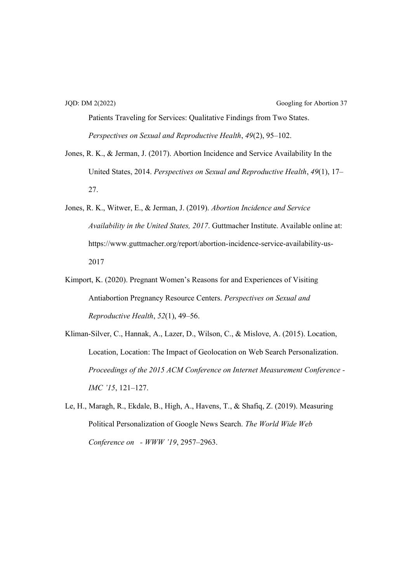Patients Traveling for Services: Qualitative Findings from Two States. *Perspectives on Sexual and Reproductive Health, 49(2), 95-102.* 

- Jones, R. K., & Jerman, J. (2017). Abortion Incidence and Service Availability In the United States, 2014. *Perspectives on Sexual and Reproductive Health*, *49*(1), 17± 27.
- Jones, R. K., Witwer, E., & Jerman, J. (2019). *Abortion Incidence and Service Availability in the United States, 2017*. Guttmacher Institute. Available online at: https://www.guttmacher.org/report/abortion-incidence-service-availability-us-2017
- Kimport, K. (2020). Pregnant Women's Reasons for and Experiences of Visiting Antiabortion Pregnancy Resource Centers. *Perspectives on Sexual and Reproductive Health, 52(1), 49–56.*
- Kliman-Silver, C., Hannak, A., Lazer, D., Wilson, C., & Mislove, A. (2015). Location, Location, Location: The Impact of Geolocation on Web Search Personalization. *Proceedings of the 2015 ACM Conference on Internet Measurement Conference - JMC '15, 121-127.*
- Le, H., Maragh, R., Ekdale, B., High, A., Havens, T., & Shafiq, Z. (2019). Measuring Political Personalization of Google News Search. *The World Wide Web Conference on - WWW '19, 2957-2963.*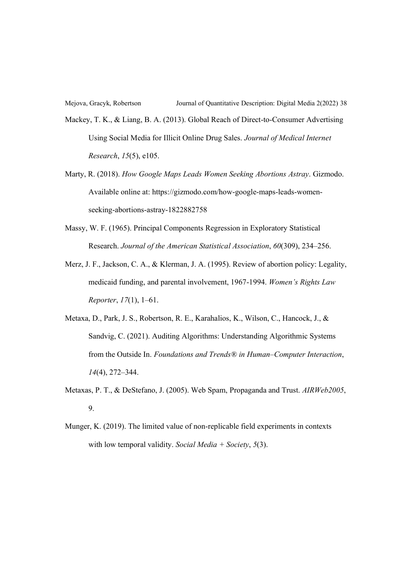Mackey, T. K., & Liang, B. A. (2013). Global Reach of Direct-to-Consumer Advertising Using Social Media for Illicit Online Drug Sales. *Journal of Medical Internet Research*, *15*(5), e105.

- Marty, R. (2018). *How Google Maps Leads Women Seeking Abortions Astray*. Gizmodo. Available online at: https://gizmodo.com/how-google-maps-leads-womenseeking-abortions-astray-1822882758
- Massy, W. F. (1965). Principal Components Regression in Exploratory Statistical Research. *Journal of the American Statistical Association*,  $60(309)$ , 234-256.
- Merz, J. F., Jackson, C. A., & Klerman, J. A. (1995). Review of abortion policy: Legality, medicaid funding, and parental involvement, 1967-1994. *Women's Rights Law Reporter*, 17(1), 1–61.
- Metaxa, D., Park, J. S., Robertson, R. E., Karahalios, K., Wilson, C., Hancock, J., & Sandvig, C. (2021). Auditing Algorithms: Understanding Algorithmic Systems from the Outside In. *Foundations and Trends® in Human±Computer Interaction*, *14*(4), 272–344.
- Metaxas, P. T., & DeStefano, J. (2005). Web Spam, Propaganda and Trust. *AIRWeb2005*, 9.
- Munger, K. (2019). The limited value of non-replicable field experiments in contexts with low temporal validity. *Social Media + Society*, *5*(3).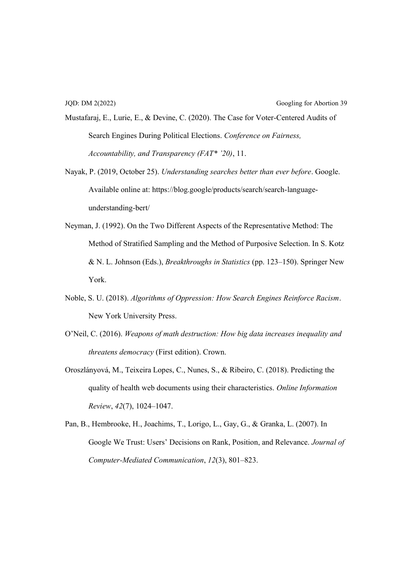- Mustafaraj, E., Lurie, E., & Devine, C. (2020). The Case for Voter-Centered Audits of Search Engines During Political Elections. *Conference on Fairness, Accountability, and Transparency (FAT\* '20), 11.*
- Nayak, P. (2019, October 25). *Understanding searches better than ever before*. Google. Available online at: https://blog.google/products/search/search-languageunderstanding-bert/
- Neyman, J. (1992). On the Two Different Aspects of the Representative Method: The Method of Stratified Sampling and the Method of Purposive Selection. In S. Kotz & N. L. Johnson (Eds.), *Breakthroughs in Statistics* (pp. 123–150). Springer New York.
- Noble, S. U. (2018). *Algorithms of Oppression: How Search Engines Reinforce Racism*. New York University Press.
- O'Neil, C. (2016). *Weapons of math destruction: How big data increases inequality and threatens democracy* (First edition). Crown.
- Oroszlányová, M., Teixeira Lopes, C., Nunes, S., & Ribeiro, C. (2018). Predicting the quality of health web documents using their characteristics. *Online Information Review, 42(7), 1024-1047.*
- Pan, B., Hembrooke, H., Joachims, T., Lorigo, L., Gay, G., & Granka, L. (2007). In Google We Trust: Users' Decisions on Rank, Position, and Relevance. Journal of *Computer-Mediated Communication, 12(3), 801-823.*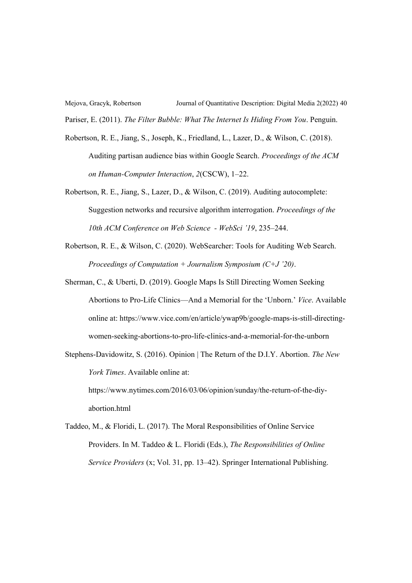Mejova, Gracyk, Robertson Journal of Quantitative Description: Digital Media 2(2022) 40 Pariser, E. (2011). *The Filter Bubble: What The Internet Is Hiding From You*. Penguin.

- Robertson, R. E., Jiang, S., Joseph, K., Friedland, L., Lazer, D., & Wilson, C. (2018). Auditing partisan audience bias within Google Search. *Proceedings of the ACM on Human-Computer Interaction, 2(CSCW), 1-22.*
- Robertson, R. E., Jiang, S., Lazer, D., & Wilson, C. (2019). Auditing autocomplete: Suggestion networks and recursive algorithm interrogation. *Proceedings of the 10th ACM Conference on Web Science - WebSci '19, 235-244.*
- Robertson, R. E., & Wilson, C. (2020). WebSearcher: Tools for Auditing Web Search. *Proceedings of Computation + Journalism Symposium (C+J '20).*
- Sherman, C., & Uberti, D. (2019). Google Maps Is Still Directing Women Seeking Abortions to Pro-Life Clinics—And a Memorial for the 'Unborn.' Vice. Available online at: https://www.vice.com/en/article/ywap9b/google-maps-is-still-directingwomen-seeking-abortions-to-pro-life-clinics-and-a-memorial-for-the-unborn
- Stephens-Davidowitz, S. (2016). Opinion | The Return of the D.I.Y. Abortion. *The New York Times*. Available online at:

https://www.nytimes.com/2016/03/06/opinion/sunday/the-return-of-the-diyabortion.html

Taddeo, M., & Floridi, L. (2017). The Moral Responsibilities of Online Service Providers. In M. Taddeo & L. Floridi (Eds.), *The Responsibilities of Online Service Providers* (x; Vol. 31, pp. 13–42). Springer International Publishing.